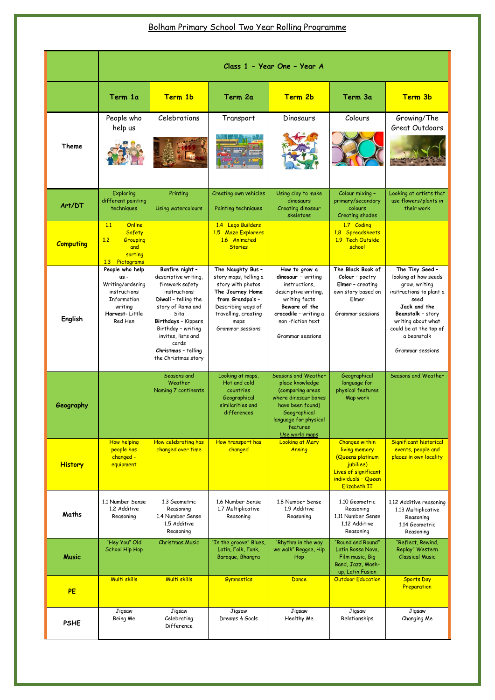## Bolham Primary School Two Year Rolling Programme

|                  | Class 1 - Year One - Year A                                                                                          |                                                                                                                                                                                                                                                           |                                                                                                                                                                                   |                                                                                                                                                                                 |                                                                                                                                               |                                                                                                                                                                                                                     |  |
|------------------|----------------------------------------------------------------------------------------------------------------------|-----------------------------------------------------------------------------------------------------------------------------------------------------------------------------------------------------------------------------------------------------------|-----------------------------------------------------------------------------------------------------------------------------------------------------------------------------------|---------------------------------------------------------------------------------------------------------------------------------------------------------------------------------|-----------------------------------------------------------------------------------------------------------------------------------------------|---------------------------------------------------------------------------------------------------------------------------------------------------------------------------------------------------------------------|--|
|                  | Term 1a                                                                                                              | Term 1b                                                                                                                                                                                                                                                   | Term 2a                                                                                                                                                                           | Term 2b                                                                                                                                                                         | Term 3a                                                                                                                                       | Term 3b                                                                                                                                                                                                             |  |
| <b>Theme</b>     | People who<br>help us                                                                                                | Celebrations                                                                                                                                                                                                                                              | Transport                                                                                                                                                                         | Dinosaurs                                                                                                                                                                       | Colours                                                                                                                                       | Growing/The<br><b>Great Outdoors</b>                                                                                                                                                                                |  |
| Art/DT           | Exploring<br>different painting<br>techniques                                                                        | Printing<br>Using watercolours                                                                                                                                                                                                                            | Creating own vehicles<br>Painting techniques                                                                                                                                      | Using clay to make<br>dinosaurs<br>Creating dinosaur<br>skeletons                                                                                                               | Colour mixing -<br>primary/secondary<br>colours<br>Creating shades                                                                            | Looking at artists that<br>use flowers/plants in<br>their work                                                                                                                                                      |  |
| <b>Computing</b> | Online<br>1.1<br>Safety<br>1.2<br>Grouping<br>and<br>sorting<br>Pictograms<br>1.3                                    |                                                                                                                                                                                                                                                           | 1.4 Lego Builders<br><b>Maze Explorers</b><br>1.5<br>1.6 Animated<br><b>Stories</b>                                                                                               |                                                                                                                                                                                 | 1.7 Coding<br>Spreadsheets<br>1.8 <sub>1</sub><br>1.9 Tech Outside<br>school                                                                  |                                                                                                                                                                                                                     |  |
| <b>English</b>   | People who help<br>$US -$<br>Writing/ordering<br>instructions<br>Information<br>writing<br>Harvest-Little<br>Red Hen | Bonfire night -<br>descriptive writing,<br>firework safety<br>instructions<br>Diwali - telling the<br>story of Rama and<br>Sita<br>Birthdays - Kippers<br>Birthday - writing<br>invites, lists and<br>cards<br>Christmas - telling<br>the Christmas story | The Naughty Bus -<br>story maps, telling a<br>story with photos<br>The Journey Home<br>from Grandpa's -<br>Describing ways of<br>travelling, creating<br>maps<br>Grammar sessions | How to grow a<br>dinosaur - writing<br>instructions,<br>descriptive writing,<br>writing facts<br>Beware of the<br>crocodile - writing a<br>non-fiction text<br>Grammar sessions | The Black Book of<br>Colour - poetry<br><b>Elmer</b> - creating<br>own story based on<br>Elmer<br><b>Grammar sessions</b>                     | The Tiny Seed -<br>looking at how seeds<br>grow, writing<br>instructions to plant a<br>seed<br>Jack and the<br>Beanstalk - story<br>writing about what<br>could be at the top of<br>a beanstalk<br>Grammar sessions |  |
| Geography        |                                                                                                                      | Seasons and<br>Weather<br>Naming 7 continents                                                                                                                                                                                                             | Looking at maps,<br>Hot and cold<br>countries<br>Geographical<br>similarities and<br>differences                                                                                  | Seasons and Weather<br>place knowledge<br>(comparing areas<br>where dinosaur bones<br>have been found)<br>Geographical<br>language for physical<br>features<br>Use world maps   | Geographical<br>language for<br>physical features<br>Map work                                                                                 | Seasons and Weather                                                                                                                                                                                                 |  |
| <b>History</b>   | <b>How helping</b><br>people has<br>changed -<br>equipment                                                           | How celebrating has<br>changed over time                                                                                                                                                                                                                  | How transport has<br>changed                                                                                                                                                      | <b>Looking at Mary</b><br>Anning                                                                                                                                                | <b>Changes within</b><br>living memory<br>(Queens platinum<br>jubiliee)<br>Lives of significant<br>individuals - Queen<br><b>Elizabeth II</b> | Significant historical<br>events, people and<br>places in own locality                                                                                                                                              |  |
| Maths            | 1.1 Number Sense<br>1.2 Additive<br>Reasoning                                                                        | 1.3 Geometric<br>Reasoning<br>1.4 Number Sense<br>1.5 Additive<br>Reasoning                                                                                                                                                                               | 1.6 Number Sense<br>1.7 Multiplicative<br>Reasoning                                                                                                                               | 1.8 Number Sense<br>1.9 Additive<br>Reasoning                                                                                                                                   | 1.10 Geometric<br>Reasoning<br>1.11 Number Sense<br>1.12 Additive<br>Reasoning                                                                | 1.12 Additive reasoning<br>1.13 Multiplicative<br>Reasoning<br>1.14 Geometric<br>Reasoning                                                                                                                          |  |
| <b>Music</b>     | "Hey You" Old<br><b>School Hip Hop</b>                                                                               | <b>Christmas Music</b>                                                                                                                                                                                                                                    | "In the groove" Blues,<br>Latin, Folk, Funk,<br>Baroque, Bhangra                                                                                                                  | "Rhythm in the way<br>we walk" Reggae, Hip<br>Hop                                                                                                                               | "Round and Round"<br>Latin Bossa Nova,<br>Film music, Big<br>Band, Jazz, Mash-<br>up, Latin Fusion                                            | "Reflect, Rewind,<br>Replay" Western<br><b>Classical Music</b>                                                                                                                                                      |  |
| PE               | Multi skills                                                                                                         | Multi skills                                                                                                                                                                                                                                              | <b>Gymnastics</b>                                                                                                                                                                 | Dance                                                                                                                                                                           | <b>Outdoor Education</b>                                                                                                                      | <b>Sports Day</b><br>Preparation                                                                                                                                                                                    |  |
| <b>PSHE</b>      | Jigsaw<br>Being Me                                                                                                   | Jigsaw<br>Celebrating<br>Difference                                                                                                                                                                                                                       | Jigsaw<br>Dreams & Goals                                                                                                                                                          | Jigsaw<br>Healthy Me                                                                                                                                                            | Jigsaw<br>Relationships                                                                                                                       | Jigsaw<br>Changing Me                                                                                                                                                                                               |  |